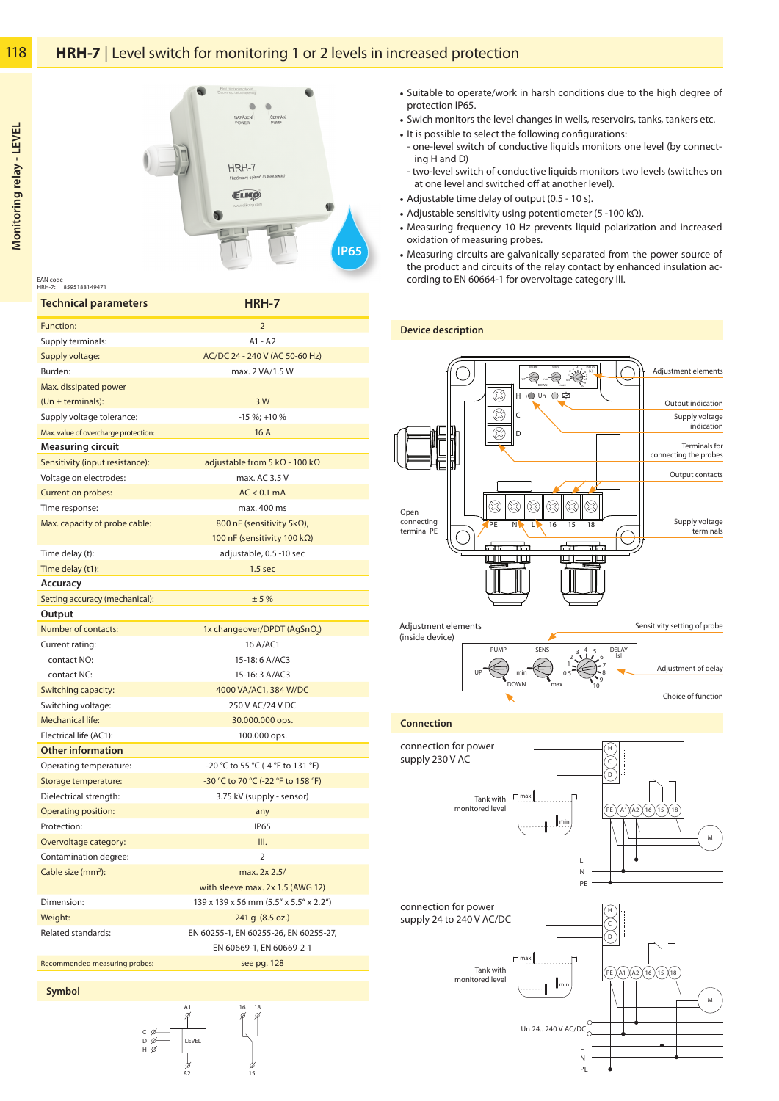

8595188149471 HRH-7: EAN code

| <b>Technical parameters</b>          | <b>HRH-7</b>                                  |
|--------------------------------------|-----------------------------------------------|
| Function:                            | $\overline{2}$                                |
| Supply terminals:                    | $A1 - A2$                                     |
| Supply voltage:                      | AC/DC 24 - 240 V (AC 50-60 Hz)                |
| Burden:                              | max. 2 VA/1.5 W                               |
| Max. dissipated power                |                                               |
| $(Un + terminals):$                  | 3 W                                           |
| Supply voltage tolerance:            | $-15 \%$ ; +10 %                              |
| Max. value of overcharge protection: | 16A                                           |
| <b>Measuring circuit</b>             |                                               |
| Sensitivity (input resistance):      | adjustable from 5 k $\Omega$ - 100 k $\Omega$ |
| Voltage on electrodes:               | max. AC 3.5 V                                 |
| Current on probes:                   | $AC < 0.1$ mA                                 |
| Time response:                       | max. 400 ms                                   |
| Max. capacity of probe cable:        | 800 nF (sensitivity 5kΩ),                     |
|                                      | 100 nF (sensitivity 100 kΩ)                   |
| Time delay (t):                      | adjustable, 0.5 -10 sec                       |
| Time delay (t1):                     | 1.5 <sub>sec</sub>                            |
| Accuracy                             |                                               |
| Setting accuracy (mechanical):       | ±5%                                           |
| Output                               |                                               |
| Number of contacts:                  | 1x changeover/DPDT (AgSnO <sub>2</sub> )      |
| Current rating:                      | 16 A/AC1                                      |
| contact NO:                          | 15-18: 6 A/AC3                                |
| contact NC:                          | 15-16: 3 A/AC3                                |
| Switching capacity:                  | 4000 VA/AC1, 384 W/DC                         |
| Switching voltage:                   | 250 V AC/24 V DC                              |
| <b>Mechanical life:</b>              | 30.000.000 ops.                               |
| Electrical life (AC1):               | 100.000 ops.                                  |
| <b>Other information</b>             |                                               |
| Operating temperature:               | -20 °C to 55 °C (-4 °F to 131 °F)             |
| Storage temperature:                 | -30 °C to 70 °C (-22 °F to 158 °F)            |
| Dielectrical strength:               | 3.75 kV (supply - sensor)                     |
| <b>Operating position:</b>           | any                                           |
| Protection:                          | <b>IP65</b>                                   |
| Overvoltage category:                | III.                                          |
| Contamination degree:                | $\overline{2}$                                |
| Cable size (mm <sup>2</sup> ):       | max. 2x 2.5/                                  |
|                                      | with sleeve max. 2x 1.5 (AWG 12)              |
| Dimension:                           | 139 x 139 x 56 mm (5.5" x 5.5" x 2.2")        |
| Weight:                              | 241 g (8.5 oz.)                               |
| Related standards:                   | EN 60255-1, EN 60255-26, EN 60255-27,         |
|                                      | EN 60669-1, EN 60669-2-1                      |
| Recommended measuring probes:        | see pg. 128                                   |

- Suitable to operate/work in harsh conditions due to the high degree of protection IP65.
- Swich monitors the level changes in wells, reservoirs, tanks, tankers etc.
- It is possible to select the following configurations:
- one-level switch of conductive liquids monitors one level (by connecting H and D)
- two-level switch of conductive liquids monitors two levels (switches on at one level and switched off at another level).
- Adjustable time delay of output (0.5 10 s).
- Adjustable sensitivity using potentiometer (5 -100 kΩ).
- Measuring frequency 10 Hz prevents liquid polarization and increased oxidation of measuring probes.
- Measuring circuits are galvanically separated from the power source of the product and circuits of the relay contact by enhanced insulation according to EN 60664-1 for overvoltage category III.

**Device description**



## **Connection**



Choice of function





**Monitoring relay - LEVEL**Monitoring relay - LEVEL